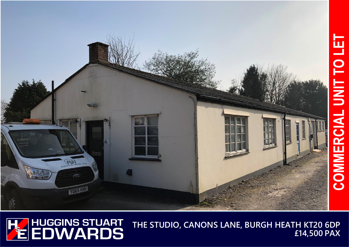

**THE STUDIO, CANONS LANE, BURGH HEATH KT20 6DP £14,500 PAX**